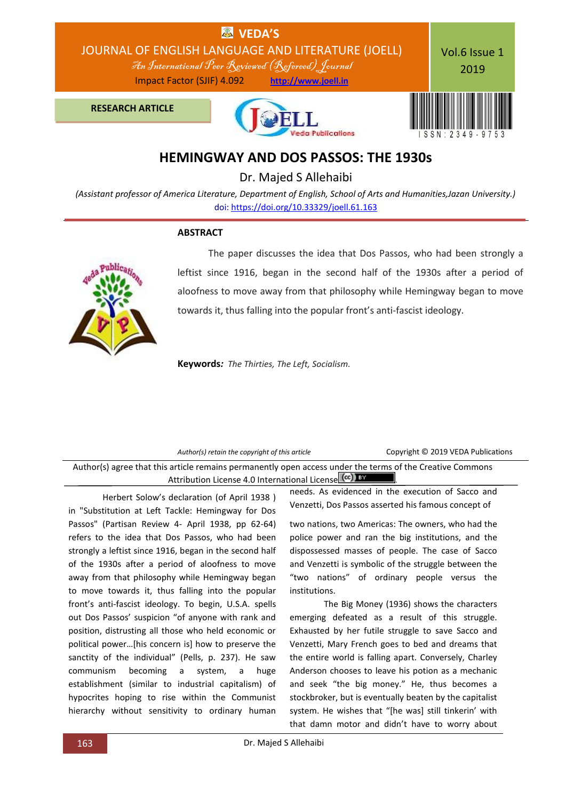

# **HEMINGWAY AND DOS PASSOS: THE 1930s**

Dr. Majed S Allehaibi

*(Assistant professor of America Literature, Department of English, School of Arts and Humanities,Jazan University.)* doi: [https://doi.org/10.33329/joell.61.163](http://joell.in/vol-6-issue-1-2019/)

#### **ABSTRACT**



 The paper discusses the idea that Dos Passos, who had been strongly a leftist since 1916, began in the second half of the 1930s after a period of aloofness to move away from that philosophy while Hemingway began to move towards it, thus falling into the popular front's anti-fascist ideology.

**Keywords***: The Thirties, The Left, Socialism.*

| Author(s) retain the copyright of this article |  |
|------------------------------------------------|--|
|------------------------------------------------|--|

Copyright © 2019 VEDA Publications

Author(s) agree that this article remains permanently open access under the terms of the Creative Commons Attribution License 4.0 International License  $\left[\text{cc}\right]$  BY

Herbert Solow's declaration (of April 1938 ) in "Substitution at Left Tackle: Hemingway for Dos Passos" (Partisan Review 4- April 1938, pp 62-64) refers to the idea that Dos Passos, who had been strongly a leftist since 1916, began in the second half of the 1930s after a period of aloofness to move away from that philosophy while Hemingway began to move towards it, thus falling into the popular front's anti-fascist ideology. To begin, U.S.A. spells out Dos Passos' suspicion "of anyone with rank and position, distrusting all those who held economic or political power...[his concern is] how to preserve the sanctity of the individual" (Pells, p. 237). He saw communism becoming a system, a huge establishment (similar to industrial capitalism) of hypocrites hoping to rise within the Communist hierarchy without sensitivity to ordinary human

needs. As evidenced in the execution of Sacco and Venzetti, Dos Passos asserted his famous concept of

two nations, two Americas: The owners, who had the police power and ran the big institutions, and the dispossessed masses of people. The case of Sacco and Venzetti is symbolic of the struggle between the "two nations" of ordinary people versus the institutions.

The Big Money (1936) shows the characters emerging defeated as a result of this struggle. Exhausted by her futile struggle to save Sacco and Venzetti, Mary French goes to bed and dreams that the entire world is falling apart. Conversely, Charley Anderson chooses to leave his potion as a mechanic and seek "the big money." He, thus becomes a stockbroker, but is eventually beaten by the capitalist system. He wishes that "[he was] still tinkerin' with that damn motor and didn't have to worry about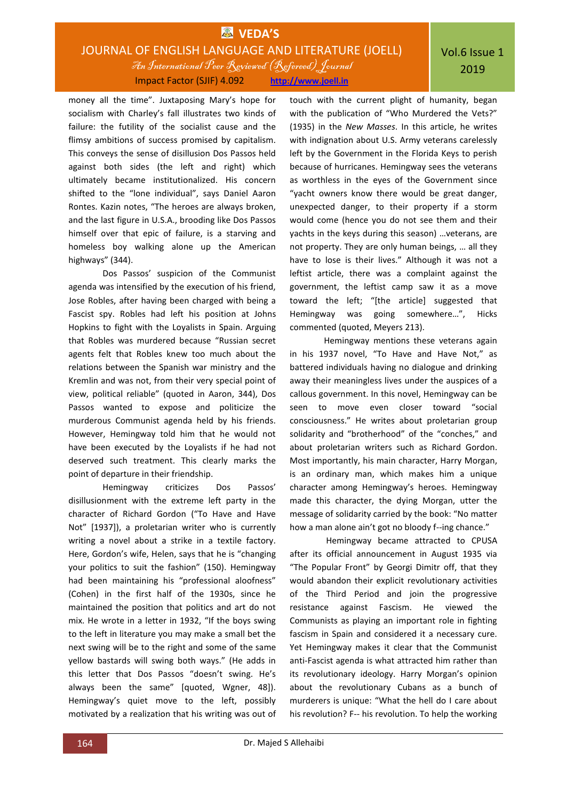### **EDA'S** JOURNAL OF ENGLISH LANGUAGE AND LITERATURE (JOELL) An International Peer Reviewed (Refereed)Journal Impact Factor (SJIF) 4.092 **http://www.joell.in**

money all the time". Juxtaposing Mary's hope for socialism with Charley's fall illustrates two kinds of failure: the futility of the socialist cause and the flimsy ambitions of success promised by capitalism. This conveys the sense of disillusion Dos Passos held against both sides (the left and right) which ultimately became institutionalized. His concern shifted to the "lone individual", says Daniel Aaron Rontes. Kazin notes, "The heroes are always broken, and the last figure in U.S.A., brooding like Dos Passos himself over that epic of failure, is a starving and homeless boy walking alone up the American highways" (344).

Dos Passos' suspicion of the Communist agenda was intensified by the execution of his friend, Jose Robles, after having been charged with being a Fascist spy. Robles had left his position at Johns Hopkins to fight with the Loyalists in Spain. Arguing that Robles was murdered because "Russian secret agents felt that Robles knew too much about the relations between the Spanish war ministry and the Kremlin and was not, from their very special point of view, political reliable" (quoted in Aaron, 344), Dos Passos wanted to expose and politicize the murderous Communist agenda held by his friends. However, Hemingway told him that he would not have been executed by the Loyalists if he had not deserved such treatment. This clearly marks the point of departure in their friendship.

Hemingway criticizes Dos Passos' disillusionment with the extreme left party in the character of Richard Gordon ("To Have and Have Not" [1937]), a proletarian writer who is currently writing a novel about a strike in a textile factory. Here, Gordon's wife, Helen, says that he is "changing your politics to suit the fashion" (150). Hemingway had been maintaining his "professional aloofness" (Cohen) in the first half of the 1930s, since he maintained the position that politics and art do not mix. He wrote in a letter in 1932, "If the boys swing to the left in literature you may make a small bet the next swing will be to the right and some of the same yellow bastards will swing both ways." (He adds in this letter that Dos Passos "doesn't swing. He's always been the same" [quoted, Wgner, 48]). Hemingway's quiet move to the left, possibly motivated by a realization that his writing was out of touch with the current plight of humanity, began with the publication of "Who Murdered the Vets?" (1935) in the *New Masses*. In this article, he writes with indignation about U.S. Army veterans carelessly left by the Government in the Florida Keys to perish because of hurricanes. Hemingway sees the veterans as worthless in the eyes of the Government since "yacht owners know there would be great danger, unexpected danger, to their property if a storm would come (hence you do not see them and their yachts in the keys during this season) …veterans, are not property. They are only human beings, … all they have to lose is their lives." Although it was not a leftist article, there was a complaint against the government, the leftist camp saw it as a move toward the left; "[the article] suggested that Hemingway was going somewhere…", Hicks commented (quoted, Meyers 213).

Hemingway mentions these veterans again in his 1937 novel, "To Have and Have Not," as battered individuals having no dialogue and drinking away their meaningless lives under the auspices of a callous government. In this novel, Hemingway can be seen to move even closer toward "social consciousness." He writes about proletarian group solidarity and "brotherhood" of the "conches," and about proletarian writers such as Richard Gordon. Most importantly, his main character, Harry Morgan, is an ordinary man, which makes him a unique character among Hemingway's heroes. Hemingway made this character, the dying Morgan, utter the message of solidarity carried by the book: "No matter how a man alone ain't got no bloody f--ing chance."

Hemingway became attracted to CPUSA after its official announcement in August 1935 via "The Popular Front" by Georgi Dimitr off, that they would abandon their explicit revolutionary activities of the Third Period and join the progressive resistance against Fascism. He viewed the Communists as playing an important role in fighting fascism in Spain and considered it a necessary cure. Yet Hemingway makes it clear that the Communist anti-Fascist agenda is what attracted him rather than its revolutionary ideology. Harry Morgan's opinion about the revolutionary Cubans as a bunch of murderers is unique: "What the hell do I care about his revolution? F-- his revolution. To help the working